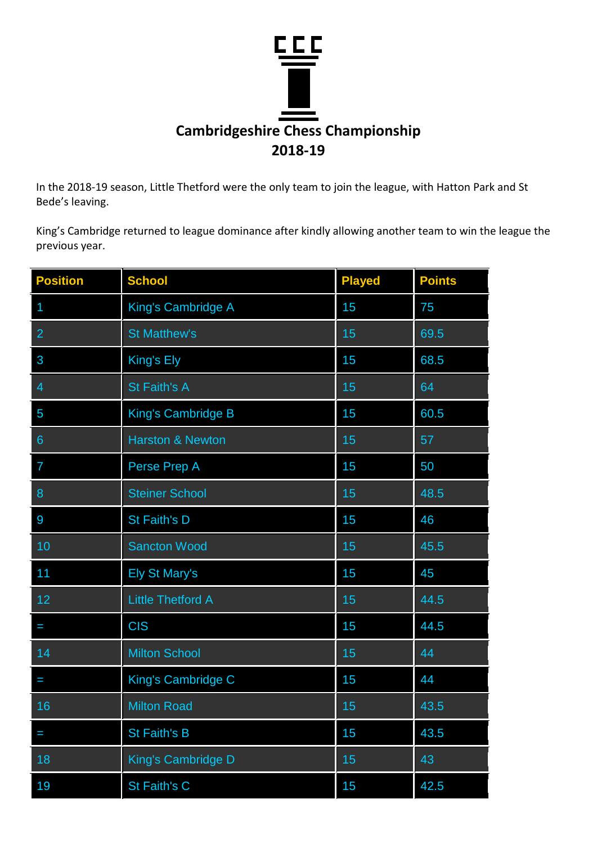

In the 2018-19 season, Little Thetford were the only team to join the league, with Hatton Park and St Bede's leaving.

King's Cambridge returned to league dominance after kindly allowing another team to win the league the previous year.

| <b>Position</b> | <b>School</b>               | <b>Played</b> | <b>Points</b> |
|-----------------|-----------------------------|---------------|---------------|
|                 | King's Cambridge A          | 15            | 75            |
| $\overline{2}$  | <b>St Matthew's</b>         | 15            | 69.5          |
| 3               | King's Ely                  | 15            | 68.5          |
| 4               | <b>St Faith's A</b>         | 15            | 64            |
| 5               | <b>King's Cambridge B</b>   | 15            | 60.5          |
| $6\phantom{1}$  | <b>Harston &amp; Newton</b> | 15            | 57            |
| 7               | Perse Prep A                | 15            | 50            |
| 8               | <b>Steiner School</b>       | 15            | 48.5          |
| 9               | St Faith's D                | 15            | 46            |
| 10              | <b>Sancton Wood</b>         | 15            | 45.5          |
| 11              | <b>Ely St Mary's</b>        | 15            | 45            |
| 12              | <b>Little Thetford A</b>    | 15            | 44.5          |
| I               | <b>CIS</b>                  | 15            | 44.5          |
| 14              | <b>Milton School</b>        | 15            | 44            |
| I               | King's Cambridge C          | 15            | 44            |
| 16              | <b>Milton Road</b>          | 15            | 43.5          |
|                 | <b>St Faith's B</b>         | 15            | 43.5          |
| 18              | King's Cambridge D          | 15            | 43            |
| 19              | St Faith's C                | 15            | 42.5          |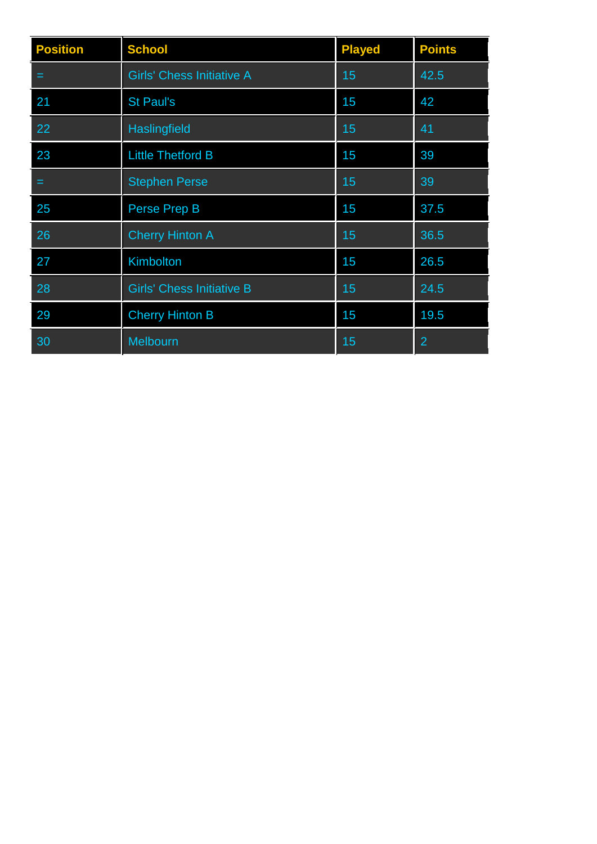| <b>Position</b> | <b>School</b>                    | <b>Played</b> | <b>Points</b>  |
|-----------------|----------------------------------|---------------|----------------|
| =               | <b>Girls' Chess Initiative A</b> | 15            | 42.5           |
| 21              | <b>St Paul's</b>                 | 15            | 42             |
| 22              | <b>Haslingfield</b>              | 15            | 41             |
| 23              | <b>Little Thetford B</b>         | 15            | 39             |
| =               | <b>Stephen Perse</b>             | 15            | 39             |
| 25              | Perse Prep B                     | 15            | 37.5           |
| 26              | <b>Cherry Hinton A</b>           | 15            | 36.5           |
| 27              | Kimbolton                        | 15            | 26.5           |
| 28              | <b>Girls' Chess Initiative B</b> | 15            | 24.5           |
| 29              | <b>Cherry Hinton B</b>           | 15            | 19.5           |
| 30              | Melbourn                         | 15            | $\overline{2}$ |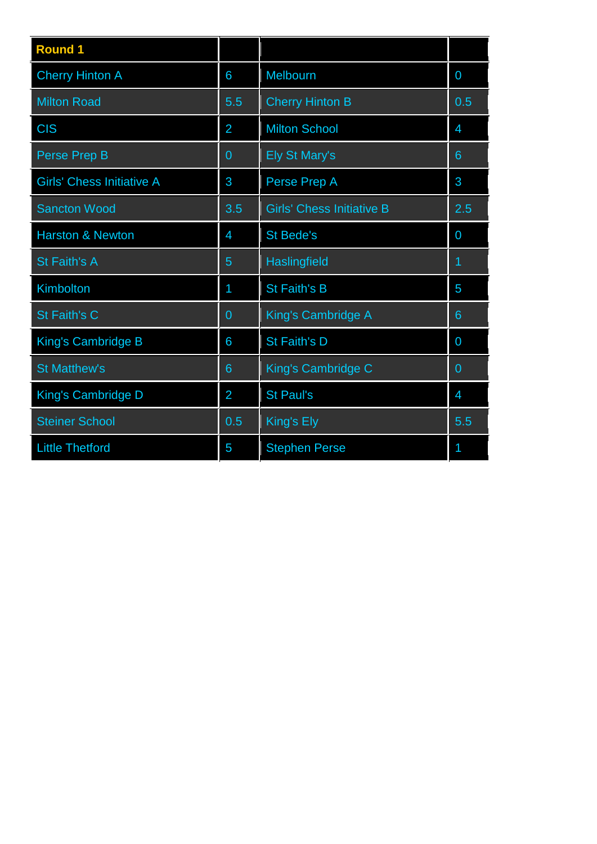| <b>Round 1</b>                   |                |                                  |                 |
|----------------------------------|----------------|----------------------------------|-----------------|
| <b>Cherry Hinton A</b>           | 6              | Melbourn                         | $\overline{0}$  |
| <b>Milton Road</b>               | 5.5            | <b>Cherry Hinton B</b>           | 0.5             |
| <b>CIS</b>                       | $\overline{2}$ | <b>Milton School</b>             | $\overline{4}$  |
| Perse Prep B                     | 0              | Ely St Mary's                    | $6\phantom{1}6$ |
| <b>Girls' Chess Initiative A</b> | 3              | Perse Prep A                     | 3               |
| <b>Sancton Wood</b>              | 3.5            | <b>Girls' Chess Initiative B</b> | 2.5             |
| <b>Harston &amp; Newton</b>      | $\overline{4}$ | <b>St Bede's</b>                 | $\overline{0}$  |
| St Faith's A                     | 5              | Haslingfield                     | 1               |
| Kimbolton                        | 1              | <b>St Faith's B</b>              | 5               |
| St Faith's C                     | 0              | King's Cambridge A               | $6\phantom{1}6$ |
| <b>King's Cambridge B</b>        | 6              | St Faith's D                     | $\overline{0}$  |
| <b>St Matthew's</b>              | 6              | King's Cambridge C               | $\overline{0}$  |
| King's Cambridge D               | $\overline{2}$ | <b>St Paul's</b>                 | $\overline{4}$  |
| <b>Steiner School</b>            | 0.5            | King's Ely                       | 5.5             |
| <b>Little Thetford</b>           | 5              | <b>Stephen Perse</b>             | 1               |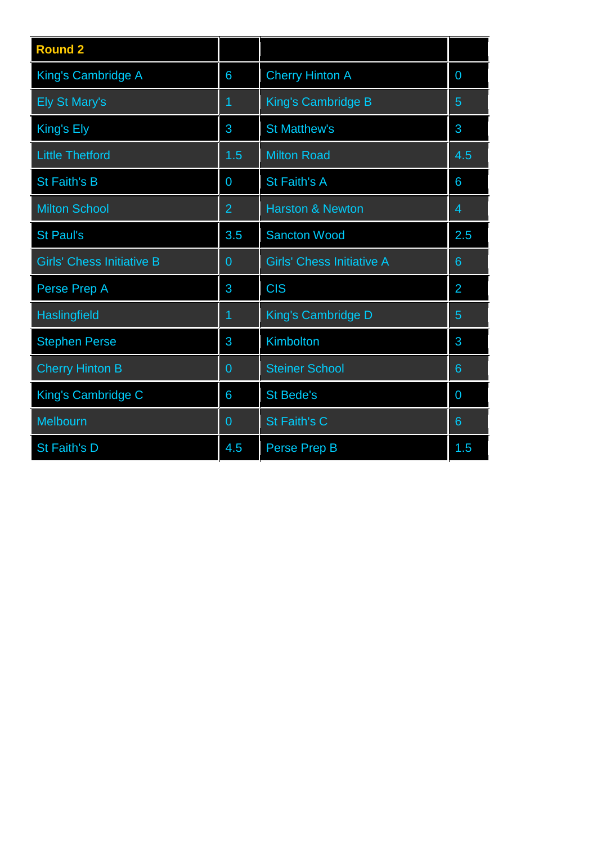| <b>Round 2</b>                   |                |                                  |                |
|----------------------------------|----------------|----------------------------------|----------------|
| King's Cambridge A               | 6              | <b>Cherry Hinton A</b>           | $\overline{0}$ |
| <b>Ely St Mary's</b>             | 1              | King's Cambridge B               | 5              |
| King's Ely                       | 3              | <b>St Matthew's</b>              | 3              |
| <b>Little Thetford</b>           | 1.5            | <b>Milton Road</b>               | 4.5            |
| <b>St Faith's B</b>              | 0              | St Faith's A                     | 6              |
| <b>Milton School</b>             | $\overline{2}$ | <b>Harston &amp; Newton</b>      | $\overline{4}$ |
| <b>St Paul's</b>                 | 3.5            | <b>Sancton Wood</b>              | 2.5            |
| <b>Girls' Chess Initiative B</b> | $\overline{0}$ | <b>Girls' Chess Initiative A</b> | $6\phantom{1}$ |
| Perse Prep A                     | 3              | <b>CIS</b>                       | $\overline{2}$ |
| Haslingfield                     | 1              | King's Cambridge D               | 5              |
| <b>Stephen Perse</b>             | 3              | Kimbolton                        | 3              |
| <b>Cherry Hinton B</b>           | $\overline{0}$ | <b>Steiner School</b>            | 6              |
| King's Cambridge C               | 6              | <b>St Bede's</b>                 | $\overline{0}$ |
| Melbourn                         | $\overline{0}$ | St Faith's C                     | $6\phantom{1}$ |
| St Faith's D                     | 4.5            | Perse Prep B                     | 1.5            |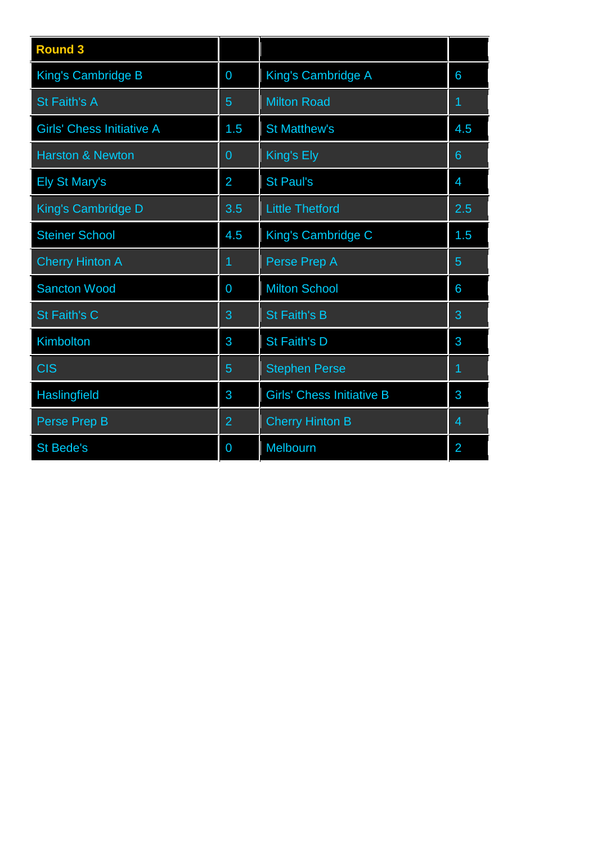| <b>Round 3</b>                   |                |                                  |                |  |
|----------------------------------|----------------|----------------------------------|----------------|--|
| King's Cambridge B               | 0              | King's Cambridge A               | 6              |  |
| St Faith's A                     | $\overline{5}$ | <b>Milton Road</b>               | 1              |  |
| <b>Girls' Chess Initiative A</b> | 1.5            | <b>St Matthew's</b>              | 4.5            |  |
| <b>Harston &amp; Newton</b>      | $\overline{0}$ | King's Ely                       | 6              |  |
| <b>Ely St Mary's</b>             | $\overline{2}$ | <b>St Paul's</b>                 | $\overline{4}$ |  |
| King's Cambridge D               | 3.5            | <b>Little Thetford</b>           | 2.5            |  |
| <b>Steiner School</b>            | 4.5            | King's Cambridge C               | 1.5            |  |
| <b>Cherry Hinton A</b>           | 1              | Perse Prep A                     | 5              |  |
| <b>Sancton Wood</b>              | $\overline{0}$ | <b>Milton School</b>             | 6              |  |
| <b>St Faith's C</b>              | 3              | <b>St Faith's B</b>              | 3              |  |
| Kimbolton                        | 3              | St Faith's D                     | 3              |  |
| <b>CIS</b>                       | 5              | <b>Stephen Perse</b>             | 1              |  |
| Haslingfield                     | 3              | <b>Girls' Chess Initiative B</b> | 3              |  |
| Perse Prep B                     | $\overline{2}$ | <b>Cherry Hinton B</b>           | 4              |  |
| <b>St Bede's</b>                 | 0              | Melbourn                         | $\overline{2}$ |  |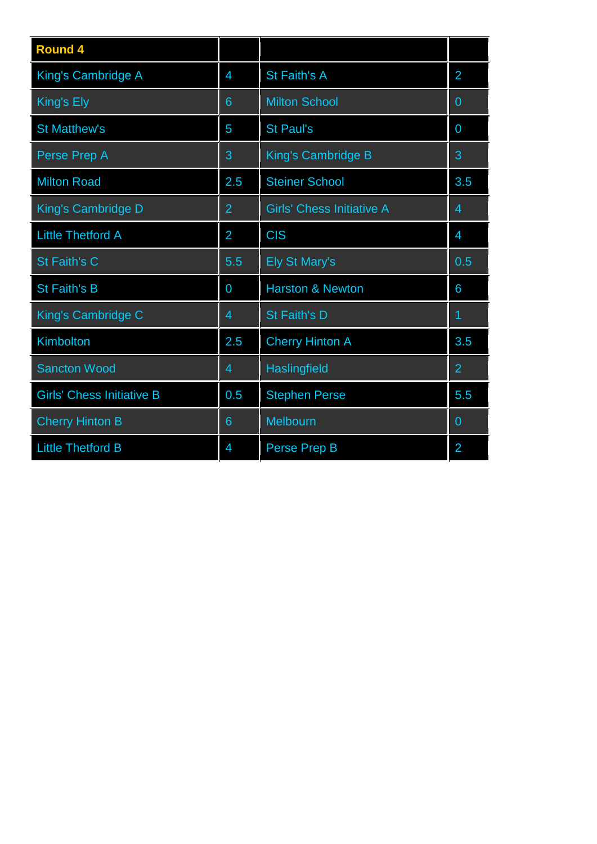| <b>Round 4</b>                   |                |                                  |                |  |
|----------------------------------|----------------|----------------------------------|----------------|--|
| <b>King's Cambridge A</b>        | $\overline{4}$ | St Faith's A                     | $\overline{2}$ |  |
| King's Ely                       | 6              | <b>Milton School</b>             | $\overline{0}$ |  |
| <b>St Matthew's</b>              | 5              | <b>St Paul's</b>                 | $\overline{0}$ |  |
| Perse Prep A                     | 3              | King's Cambridge B               | 3              |  |
| <b>Milton Road</b>               | 2.5            | <b>Steiner School</b>            | 3.5            |  |
| <b>King's Cambridge D</b>        | $\overline{2}$ | <b>Girls' Chess Initiative A</b> | $\overline{4}$ |  |
| <b>Little Thetford A</b>         | $\overline{2}$ | <b>CIS</b>                       | $\overline{4}$ |  |
| St Faith's C                     | 5.5            | <b>Ely St Mary's</b>             | 0.5            |  |
| <b>St Faith's B</b>              | $\overline{0}$ | <b>Harston &amp; Newton</b>      | 6              |  |
| King's Cambridge C               | 4              | St Faith's D                     |                |  |
| Kimbolton                        | 2.5            | <b>Cherry Hinton A</b>           | 3.5            |  |
| <b>Sancton Wood</b>              | $\overline{4}$ | Haslingfield                     | $\overline{2}$ |  |
| <b>Girls' Chess Initiative B</b> | 0.5            | <b>Stephen Perse</b>             | 5.5            |  |
| <b>Cherry Hinton B</b>           | 6              | Melbourn                         | $\overline{0}$ |  |
| <b>Little Thetford B</b>         | $\overline{4}$ | Perse Prep B                     | $\overline{2}$ |  |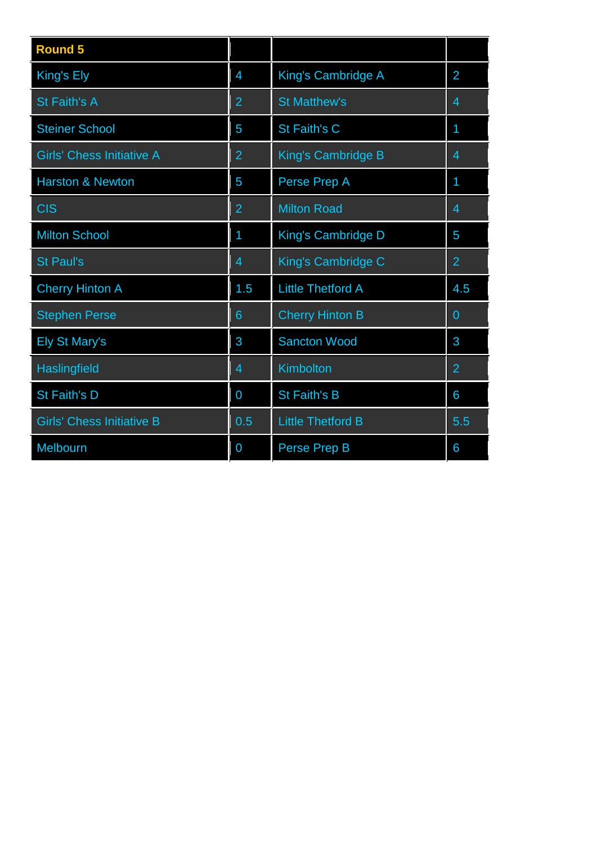| <b>Round 5</b>                   |                |                          |                |
|----------------------------------|----------------|--------------------------|----------------|
| King's Ely                       | 4              | King's Cambridge A       | $\overline{2}$ |
| <b>St Faith's A</b>              | $\overline{2}$ | <b>St Matthew's</b>      | 4              |
| <b>Steiner School</b>            | 5              | <b>St Faith's C</b>      | 1              |
| <b>Girls' Chess Initiative A</b> | $\overline{2}$ | King's Cambridge B       | 4              |
| <b>Harston &amp; Newton</b>      | 5              | Perse Prep A             | 1              |
| <b>CIS</b>                       | $\overline{2}$ | <b>Milton Road</b>       | 4              |
| <b>Milton School</b>             | 1              | King's Cambridge D       | 5              |
| <b>St Paul's</b>                 | 4              | King's Cambridge C       | $\overline{2}$ |
| <b>Cherry Hinton A</b>           | 1.5            | <b>Little Thetford A</b> | 4.5            |
| <b>Stephen Perse</b>             | 6              | <b>Cherry Hinton B</b>   | $\overline{0}$ |
| <b>Ely St Mary's</b>             | 3              | <b>Sancton Wood</b>      | 3              |
| <b>Haslingfield</b>              | 4              | Kimbolton                | $\overline{2}$ |
| <b>St Faith's D</b>              | 0              | <b>St Faith's B</b>      | 6              |
| <b>Girls' Chess Initiative B</b> | 0.5            | <b>Little Thetford B</b> | 5.5            |
| Melbourn                         | 0              | Perse Prep B             | 6              |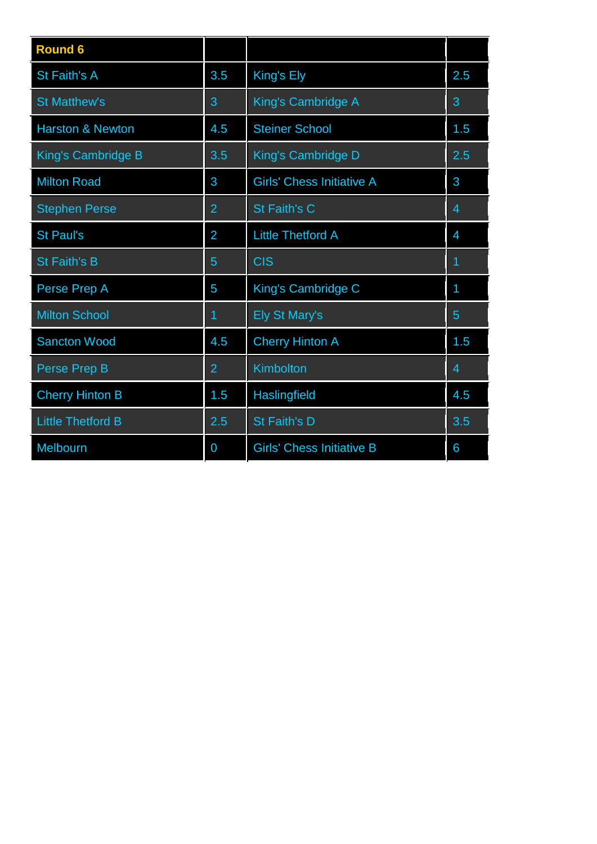| <b>Round 6</b>              |                |                                  |                |
|-----------------------------|----------------|----------------------------------|----------------|
| <b>St Faith's A</b>         | 3.5            | King's Ely                       | 2.5            |
| <b>St Matthew's</b>         | 3              | King's Cambridge A               | 3              |
| <b>Harston &amp; Newton</b> | 4.5            | <b>Steiner School</b>            | 1.5            |
| King's Cambridge B          | 3.5            | King's Cambridge D               | 2.5            |
| <b>Milton Road</b>          | 3              | <b>Girls' Chess Initiative A</b> | 3              |
| <b>Stephen Perse</b>        | $\overline{2}$ | <b>St Faith's C</b>              | $\overline{4}$ |
| <b>St Paul's</b>            | $\overline{2}$ | <b>Little Thetford A</b>         | $\overline{4}$ |
| <b>St Faith's B</b>         | 5              | <b>CIS</b>                       | 1              |
| Perse Prep A                | 5              | King's Cambridge C               | 1              |
| <b>Milton School</b>        | 1              | <b>Ely St Mary's</b>             | 5              |
| <b>Sancton Wood</b>         | 4.5            | <b>Cherry Hinton A</b>           | 1.5            |
| Perse Prep B                | $\overline{2}$ | Kimbolton                        | $\overline{4}$ |
| <b>Cherry Hinton B</b>      | 1.5            | Haslingfield                     | 4.5            |
| <b>Little Thetford B</b>    | 2.5            | <b>St Faith's D</b>              | 3.5            |
| Melbourn                    | 0              | <b>Girls' Chess Initiative B</b> | 6              |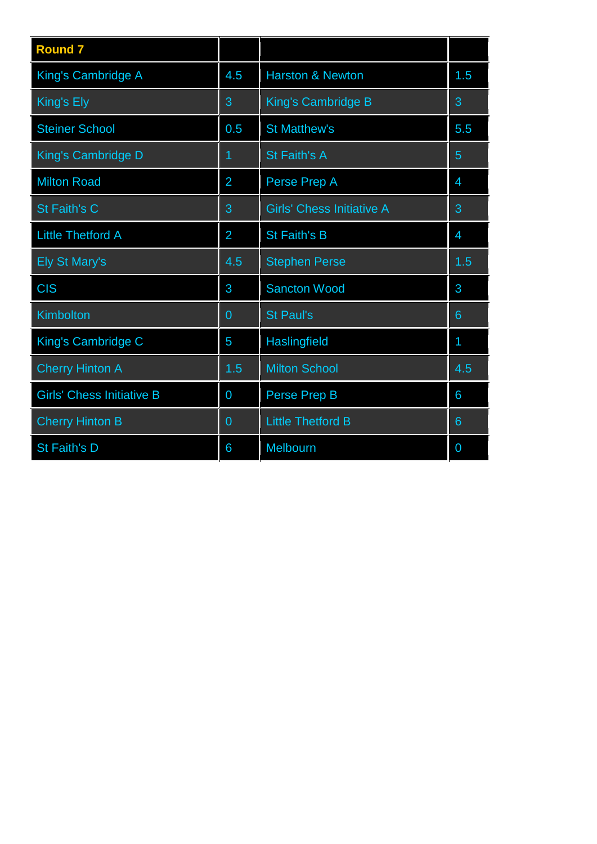| <b>Round 7</b>                   |                |                                  |                 |  |
|----------------------------------|----------------|----------------------------------|-----------------|--|
| King's Cambridge A               | 4.5            | <b>Harston &amp; Newton</b>      | 1.5             |  |
| King's Ely                       | 3              | King's Cambridge B               | 3               |  |
| <b>Steiner School</b>            | 0.5            | <b>St Matthew's</b>              | 5.5             |  |
| King's Cambridge D               | 1              | St Faith's A                     | 5               |  |
| <b>Milton Road</b>               | $\overline{2}$ | Perse Prep A                     | $\overline{4}$  |  |
| St Faith's C                     | 3              | <b>Girls' Chess Initiative A</b> | 3               |  |
| <b>Little Thetford A</b>         | $\overline{2}$ | <b>St Faith's B</b>              | $\overline{4}$  |  |
| <b>Ely St Mary's</b>             | 4.5            | <b>Stephen Perse</b>             | 1.5             |  |
| <b>CIS</b>                       | 3              | <b>Sancton Wood</b>              | 3               |  |
| Kimbolton                        | 0              | <b>St Paul's</b>                 | 6               |  |
| King's Cambridge C               | 5              | Haslingfield                     | 1               |  |
| <b>Cherry Hinton A</b>           | 1.5            | <b>Milton School</b>             | 4.5             |  |
| <b>Girls' Chess Initiative B</b> | $\overline{0}$ | Perse Prep B                     | 6               |  |
| <b>Cherry Hinton B</b>           | $\overline{0}$ | <b>Little Thetford B</b>         | $6\phantom{1}6$ |  |
| St Faith's D                     | 6              | Melbourn                         | $\overline{0}$  |  |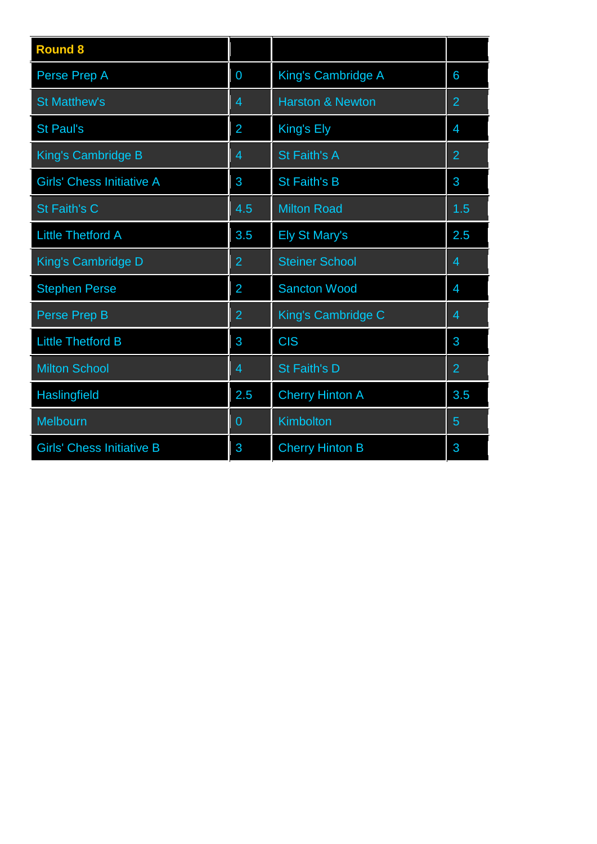| <b>Round 8</b>                   |                |                             |                |
|----------------------------------|----------------|-----------------------------|----------------|
| Perse Prep A                     | 0              | King's Cambridge A          | 6              |
| <b>St Matthew's</b>              | 4              | <b>Harston &amp; Newton</b> | $\overline{2}$ |
| <b>St Paul's</b>                 | $\overline{2}$ | King's Ely                  | 4              |
| <b>King's Cambridge B</b>        | 4              | St Faith's A                | $\overline{2}$ |
| <b>Girls' Chess Initiative A</b> | 3              | St Faith's B                | 3              |
| <b>St Faith's C</b>              | 4.5            | <b>Milton Road</b>          | 1.5            |
| <b>Little Thetford A</b>         | 3.5            | <b>Ely St Mary's</b>        | 2.5            |
| King's Cambridge D               | $\overline{2}$ | <b>Steiner School</b>       | 4              |
| <b>Stephen Perse</b>             | $\overline{2}$ | <b>Sancton Wood</b>         | 4              |
| Perse Prep B                     | $\overline{2}$ | King's Cambridge C          | 4              |
| <b>Little Thetford B</b>         | 3              | <b>CIS</b>                  | 3              |
| <b>Milton School</b>             | 4              | St Faith's D                | $\overline{2}$ |
| Haslingfield                     | 2.5            | <b>Cherry Hinton A</b>      | 3.5            |
| Melbourn                         | 0              | Kimbolton                   | 5              |
| <b>Girls' Chess Initiative B</b> | 3              | <b>Cherry Hinton B</b>      | 3              |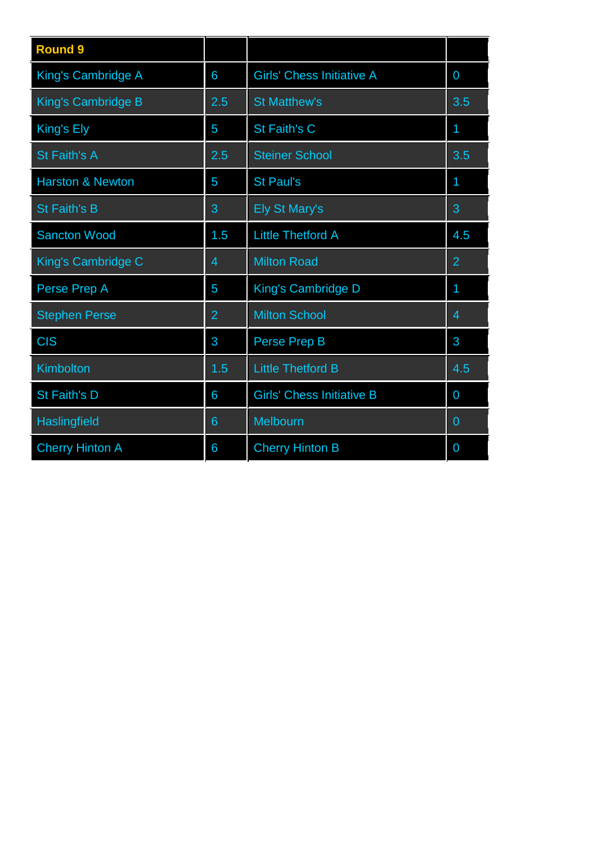| <b>Round 9</b>              |                |                                  |                |
|-----------------------------|----------------|----------------------------------|----------------|
| <b>King's Cambridge A</b>   | 6              | <b>Girls' Chess Initiative A</b> | $\overline{0}$ |
| <b>King's Cambridge B</b>   | 2.5            | <b>St Matthew's</b>              | 3.5            |
| King's Ely                  | 5              | <b>St Faith's C</b>              | 1              |
| <b>St Faith's A</b>         | 2.5            | <b>Steiner School</b>            | 3.5            |
| <b>Harston &amp; Newton</b> | 5              | <b>St Paul's</b>                 | 1              |
| <b>St Faith's B</b>         | 3              | <b>Ely St Mary's</b>             | 3              |
| <b>Sancton Wood</b>         | 1.5            | <b>Little Thetford A</b>         | 4.5            |
| King's Cambridge C          | 4              | <b>Milton Road</b>               | $\overline{2}$ |
| Perse Prep A                | 5              | <b>King's Cambridge D</b>        | 1              |
| <b>Stephen Perse</b>        | $\overline{2}$ | <b>Milton School</b>             | 4              |
| <b>CIS</b>                  | 3              | Perse Prep B                     | 3              |
| Kimbolton                   | 1.5            | <b>Little Thetford B</b>         | 4.5            |
| <b>St Faith's D</b>         | 6              | <b>Girls' Chess Initiative B</b> | $\overline{0}$ |
| Haslingfield                | 6              | Melbourn                         | 0              |
| <b>Cherry Hinton A</b>      | 6              | <b>Cherry Hinton B</b>           | $\overline{0}$ |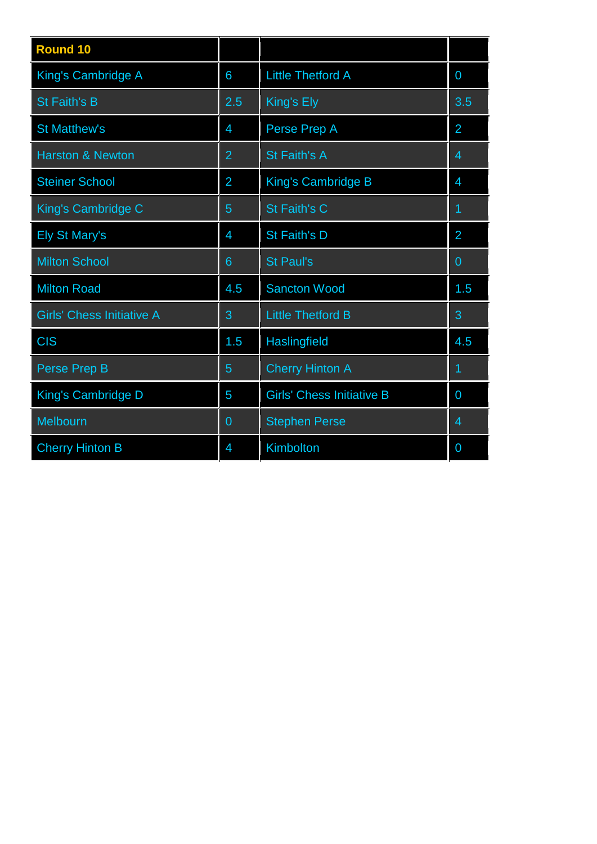| <b>Round 10</b>                  |                 |                                  |                |
|----------------------------------|-----------------|----------------------------------|----------------|
| King's Cambridge A               | 6               | <b>Little Thetford A</b>         | $\overline{0}$ |
| <b>St Faith's B</b>              | 2.5             | King's Ely                       | 3.5            |
| <b>St Matthew's</b>              | $\overline{4}$  | Perse Prep A                     | $\overline{2}$ |
| <b>Harston &amp; Newton</b>      | $\overline{2}$  | St Faith's A                     | $\overline{4}$ |
| <b>Steiner School</b>            | $\overline{2}$  | King's Cambridge B               | $\overline{4}$ |
| King's Cambridge C               | 5               | St Faith's C                     | 1              |
| <b>Ely St Mary's</b>             | $\overline{4}$  | St Faith's D                     | $\overline{2}$ |
| <b>Milton School</b>             | $6\overline{6}$ | <b>St Paul's</b>                 | $\overline{0}$ |
| <b>Milton Road</b>               | 4.5             | <b>Sancton Wood</b>              | 1.5            |
| <b>Girls' Chess Initiative A</b> | 3               | <b>Little Thetford B</b>         | 3              |
| <b>CIS</b>                       | 1.5             | <b>Haslingfield</b>              | 4.5            |
| <b>Perse Prep B</b>              | 5               | <b>Cherry Hinton A</b>           | 1              |
| <b>King's Cambridge D</b>        | 5               | <b>Girls' Chess Initiative B</b> | $\overline{0}$ |
| Melbourn                         | $\overline{0}$  | <b>Stephen Perse</b>             | 4              |
| <b>Cherry Hinton B</b>           | $\overline{4}$  | Kimbolton                        | $\overline{0}$ |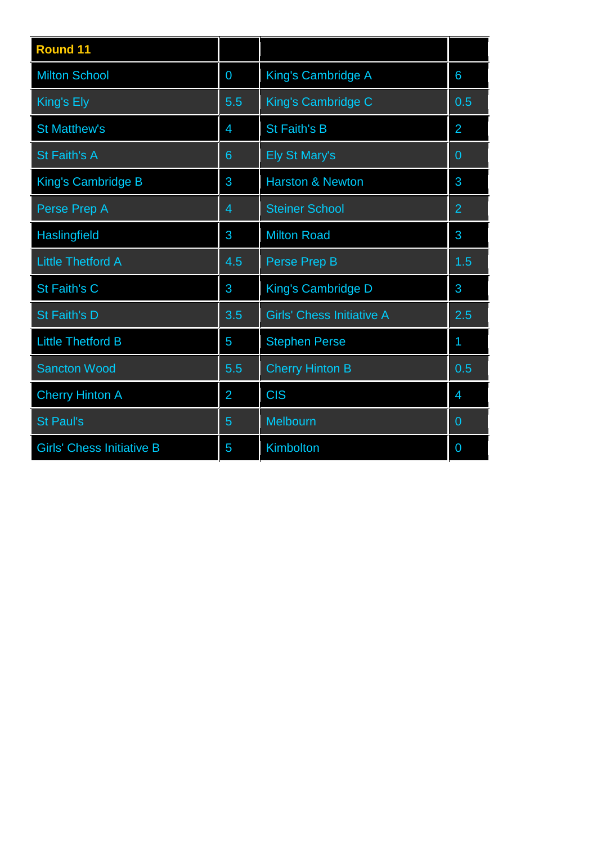| <b>Round 11</b>                  |                 |                                  |                |
|----------------------------------|-----------------|----------------------------------|----------------|
| <b>Milton School</b>             | 0               | King's Cambridge A               | 6              |
| King's Ely                       | 5.5             | King's Cambridge C               | 0.5            |
| <b>St Matthew's</b>              | $\overline{4}$  | <b>St Faith's B</b>              | $\overline{2}$ |
| <b>St Faith's A</b>              | $6\overline{6}$ | <b>Ely St Mary's</b>             | $\overline{0}$ |
| <b>King's Cambridge B</b>        | 3               | <b>Harston &amp; Newton</b>      | 3              |
| Perse Prep A                     | 4               | <b>Steiner School</b>            | $\overline{2}$ |
| Haslingfield                     | 3               | <b>Milton Road</b>               | 3              |
| <b>Little Thetford A</b>         | 4.5             | Perse Prep B                     | 1.5            |
| St Faith's C                     | 3               | King's Cambridge D               | 3              |
| St Faith's D                     | 3.5             | <b>Girls' Chess Initiative A</b> | 2.5            |
| <b>Little Thetford B</b>         | 5               | <b>Stephen Perse</b>             | 1              |
| <b>Sancton Wood</b>              | 5.5             | <b>Cherry Hinton B</b>           | 0.5            |
| <b>Cherry Hinton A</b>           | $\overline{2}$  | <b>CIS</b>                       | $\overline{4}$ |
| <b>St Paul's</b>                 | 5               | Melbourn                         | $\mathbf{0}$   |
| <b>Girls' Chess Initiative B</b> | 5               | Kimbolton                        | $\overline{0}$ |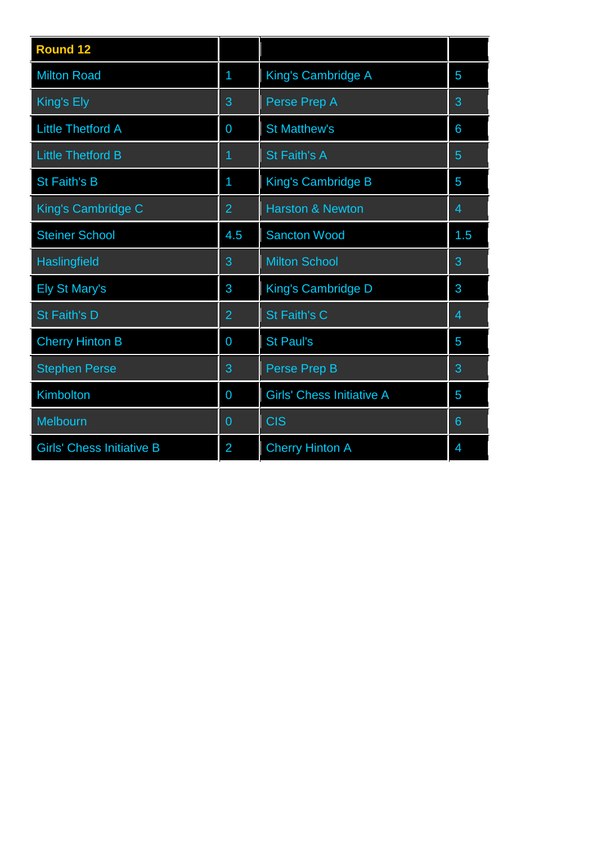| <b>Round 12</b>                  |                |                                  |                |
|----------------------------------|----------------|----------------------------------|----------------|
| <b>Milton Road</b>               | 1              | King's Cambridge A               | 5              |
| King's Ely                       | 3              | Perse Prep A                     | 3              |
| <b>Little Thetford A</b>         | $\overline{0}$ | <b>St Matthew's</b>              | 6              |
| <b>Little Thetford B</b>         | $\overline{1}$ | <b>St Faith's A</b>              | 5              |
| <b>St Faith's B</b>              | 1              | King's Cambridge B               | 5              |
| King's Cambridge C               | $\overline{2}$ | <b>Harston &amp; Newton</b>      | $\overline{4}$ |
| <b>Steiner School</b>            | 4.5            | <b>Sancton Wood</b>              | 1.5            |
| <b>Haslingfield</b>              | 3              | <b>Milton School</b>             | 3              |
| <b>Ely St Mary's</b>             | 3              | King's Cambridge D               | 3              |
| St Faith's D                     | $\overline{2}$ | St Faith's C                     | $\overline{4}$ |
| <b>Cherry Hinton B</b>           | 0              | <b>St Paul's</b>                 | 5              |
| <b>Stephen Perse</b>             | 3              | Perse Prep B                     | 3              |
| Kimbolton                        | 0              | <b>Girls' Chess Initiative A</b> | 5              |
| Melbourn                         | $\overline{0}$ | <b>CIS</b>                       | 6              |
| <b>Girls' Chess Initiative B</b> | $\overline{2}$ | <b>Cherry Hinton A</b>           | 4              |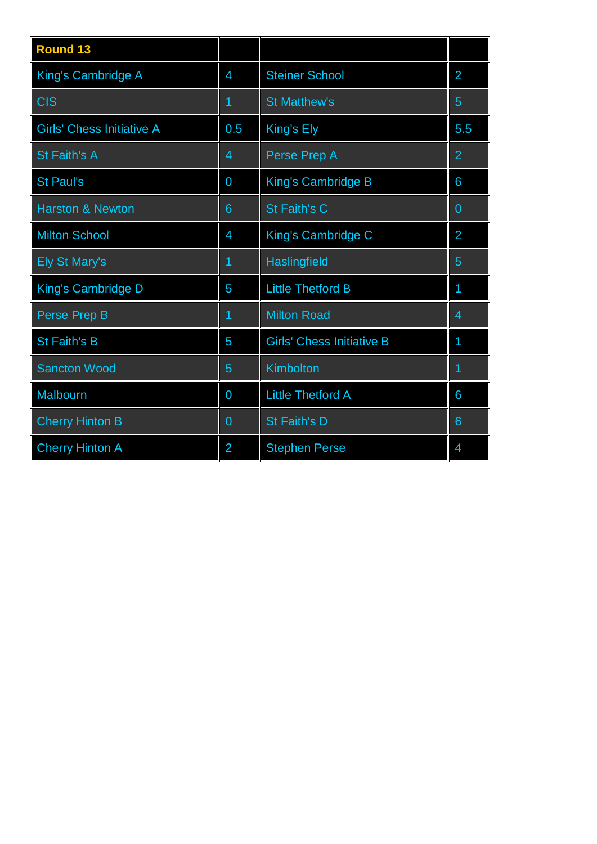| <b>Round 13</b>                  |                 |                                  |                 |  |
|----------------------------------|-----------------|----------------------------------|-----------------|--|
| King's Cambridge A               | 4               | <b>Steiner School</b>            | 2               |  |
| <b>CIS</b>                       | 1               | <b>St Matthew's</b>              | 5               |  |
| <b>Girls' Chess Initiative A</b> | 0.5             | King's Ely                       | 5.5             |  |
| St Faith's A                     | 4               | Perse Prep A                     | $\overline{2}$  |  |
| <b>St Paul's</b>                 | 0               | <b>King's Cambridge B</b>        | 6               |  |
| <b>Harston &amp; Newton</b>      | $6\overline{6}$ | St Faith's C                     | $\overline{0}$  |  |
| <b>Milton School</b>             | $\overline{4}$  | King's Cambridge C               | $\overline{2}$  |  |
| <b>Ely St Mary's</b>             | 1               | Haslingfield                     | 5               |  |
| King's Cambridge D               | 5               | <b>Little Thetford B</b>         | 1               |  |
| Perse Prep B                     | 1               | <b>Milton Road</b>               | $\overline{4}$  |  |
| <b>St Faith's B</b>              | 5               | <b>Girls' Chess Initiative B</b> | 1               |  |
| <b>Sancton Wood</b>              | 5               | <b>Kimbolton</b>                 | 1               |  |
| Malbourn                         | $\overline{0}$  | <b>Little Thetford A</b>         | 6               |  |
| <b>Cherry Hinton B</b>           | $\mathbf 0$     | St Faith's D                     | $6\phantom{1}6$ |  |
| <b>Cherry Hinton A</b>           | $\overline{2}$  | <b>Stephen Perse</b>             | $\overline{4}$  |  |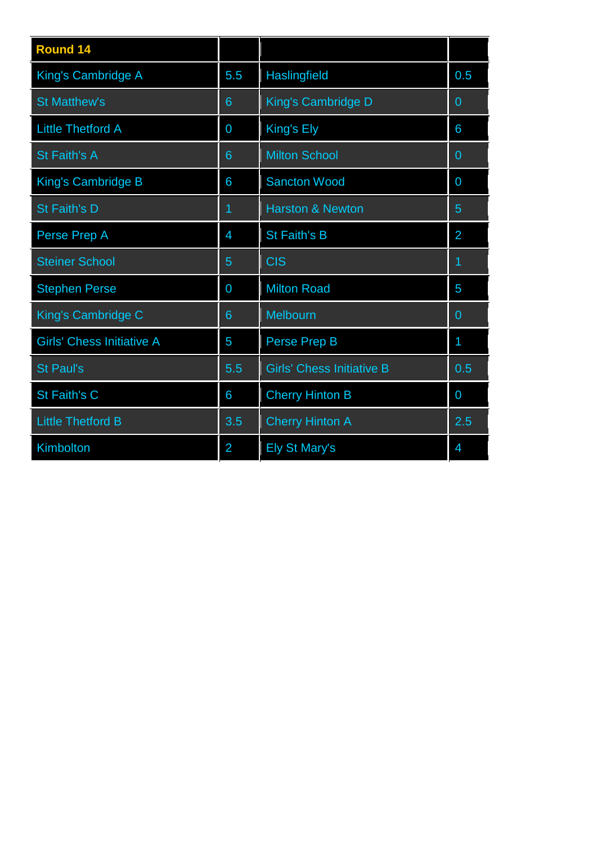| <b>Round 14</b>                  |                |                                  |                |
|----------------------------------|----------------|----------------------------------|----------------|
| <b>King's Cambridge A</b>        | 5.5            | Haslingfield                     | 0.5            |
| <b>St Matthew's</b>              | 6              | King's Cambridge D               | $\overline{0}$ |
| <b>Little Thetford A</b>         | 0              | King's Ely                       | 6              |
| St Faith's A                     | 6              | <b>Milton School</b>             | $\overline{0}$ |
| <b>King's Cambridge B</b>        | 6              | <b>Sancton Wood</b>              | $\overline{0}$ |
| St Faith's D                     | 1              | <b>Harston &amp; Newton</b>      | $\overline{5}$ |
| Perse Prep A                     | $\overline{4}$ | <b>St Faith's B</b>              | $\overline{2}$ |
| <b>Steiner School</b>            | 5              | <b>CIS</b>                       | 1              |
| <b>Stephen Perse</b>             | $\overline{0}$ | <b>Milton Road</b>               | 5              |
| King's Cambridge C               | 6              | Melbourn                         | $\Omega$       |
| <b>Girls' Chess Initiative A</b> | 5              | Perse Prep B                     | 1              |
| <b>St Paul's</b>                 | 5.5            | <b>Girls' Chess Initiative B</b> | 0.5            |
| St Faith's C                     | 6              | <b>Cherry Hinton B</b>           | $\overline{0}$ |
| <b>Little Thetford B</b>         | 3.5            | <b>Cherry Hinton A</b>           | 2.5            |
| Kimbolton                        | $\overline{2}$ | <b>Ely St Mary's</b>             | $\overline{4}$ |